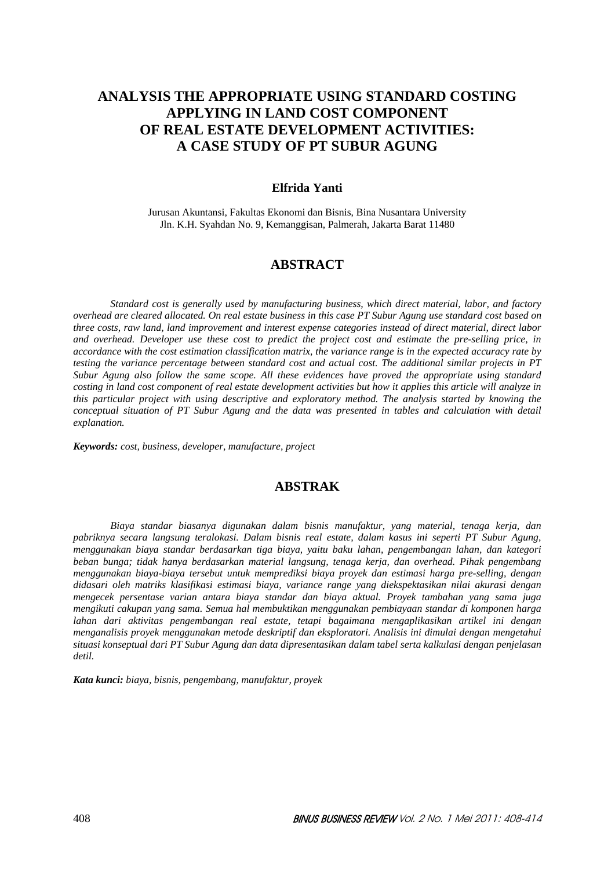# **ANALYSIS THE APPROPRIATE USING STANDARD COSTING APPLYING IN LAND COST COMPONENT OF REAL ESTATE DEVELOPMENT ACTIVITIES: A CASE STUDY OF PT SUBUR AGUNG**

### **Elfrida Yanti**

Jurusan Akuntansi, Fakultas Ekonomi dan Bisnis, Bina Nusantara University Jln. K.H. Syahdan No. 9, Kemanggisan, Palmerah, Jakarta Barat 11480

### **ABSTRACT**

*Standard cost is generally used by manufacturing business, which direct material, labor, and factory overhead are cleared allocated. On real estate business in this case PT Subur Agung use standard cost based on three costs, raw land, land improvement and interest expense categories instead of direct material, direct labor and overhead. Developer use these cost to predict the project cost and estimate the pre-selling price, in accordance with the cost estimation classification matrix, the variance range is in the expected accuracy rate by testing the variance percentage between standard cost and actual cost. The additional similar projects in PT Subur Agung also follow the same scope. All these evidences have proved the appropriate using standard costing in land cost component of real estate development activities but how it applies this article will analyze in this particular project with using descriptive and exploratory method. The analysis started by knowing the conceptual situation of PT Subur Agung and the data was presented in tables and calculation with detail explanation.* 

*Keywords: cost, business, developer, manufacture, project* 

## **ABSTRAK**

*Biaya standar biasanya digunakan dalam bisnis manufaktur, yang material, tenaga kerja, dan pabriknya secara langsung teralokasi. Dalam bisnis real estate, dalam kasus ini seperti PT Subur Agung, menggunakan biaya standar berdasarkan tiga biaya, yaitu baku lahan, pengembangan lahan, dan kategori beban bunga; tidak hanya berdasarkan material langsung, tenaga kerja, dan overhead. Pihak pengembang menggunakan biaya-biaya tersebut untuk memprediksi biaya proyek dan estimasi harga pre-selling, dengan didasari oleh matriks klasifikasi estimasi biaya, variance range yang diekspektasikan nilai akurasi dengan mengecek persentase varian antara biaya standar dan biaya aktual. Proyek tambahan yang sama juga mengikuti cakupan yang sama. Semua hal membuktikan menggunakan pembiayaan standar di komponen harga lahan dari aktivitas pengembangan real estate, tetapi bagaimana mengaplikasikan artikel ini dengan menganalisis proyek menggunakan metode deskriptif dan eksploratori. Analisis ini dimulai dengan mengetahui situasi konseptual dari PT Subur Agung dan data dipresentasikan dalam tabel serta kalkulasi dengan penjelasan detil.* 

*Kata kunci: biaya, bisnis, pengembang, manufaktur, proyek*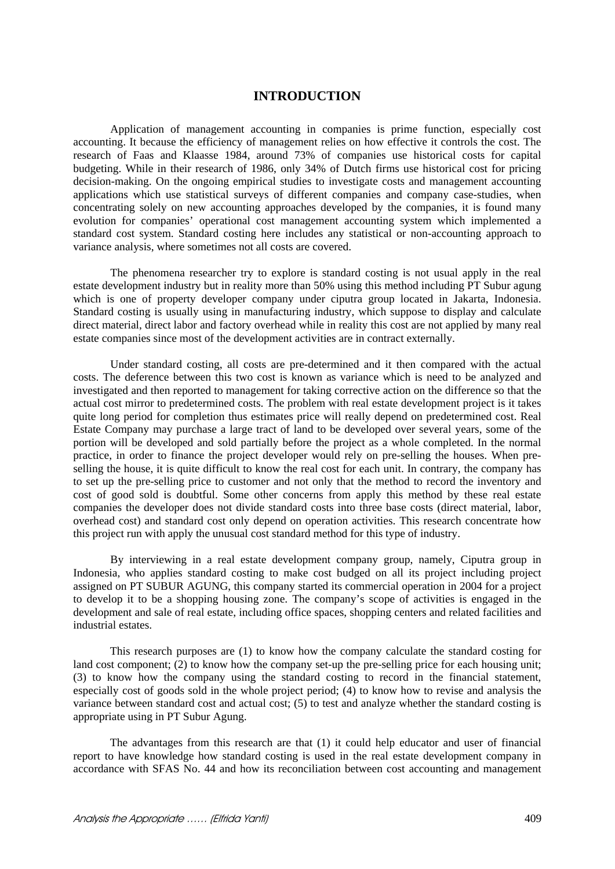## **INTRODUCTION**

Application of management accounting in companies is prime function, especially cost accounting. It because the efficiency of management relies on how effective it controls the cost. The research of Faas and Klaasse 1984, around 73% of companies use historical costs for capital budgeting. While in their research of 1986, only 34% of Dutch firms use historical cost for pricing decision-making. On the ongoing empirical studies to investigate costs and management accounting applications which use statistical surveys of different companies and company case-studies, when concentrating solely on new accounting approaches developed by the companies, it is found many evolution for companies' operational cost management accounting system which implemented a standard cost system. Standard costing here includes any statistical or non-accounting approach to variance analysis, where sometimes not all costs are covered.

The phenomena researcher try to explore is standard costing is not usual apply in the real estate development industry but in reality more than 50% using this method including PT Subur agung which is one of property developer company under ciputra group located in Jakarta, Indonesia. Standard costing is usually using in manufacturing industry, which suppose to display and calculate direct material, direct labor and factory overhead while in reality this cost are not applied by many real estate companies since most of the development activities are in contract externally.

Under standard costing, all costs are pre-determined and it then compared with the actual costs. The deference between this two cost is known as variance which is need to be analyzed and investigated and then reported to management for taking corrective action on the difference so that the actual cost mirror to predetermined costs. The problem with real estate development project is it takes quite long period for completion thus estimates price will really depend on predetermined cost. Real Estate Company may purchase a large tract of land to be developed over several years, some of the portion will be developed and sold partially before the project as a whole completed. In the normal practice, in order to finance the project developer would rely on pre-selling the houses. When preselling the house, it is quite difficult to know the real cost for each unit. In contrary, the company has to set up the pre-selling price to customer and not only that the method to record the inventory and cost of good sold is doubtful. Some other concerns from apply this method by these real estate companies the developer does not divide standard costs into three base costs (direct material, labor, overhead cost) and standard cost only depend on operation activities. This research concentrate how this project run with apply the unusual cost standard method for this type of industry.

By interviewing in a real estate development company group, namely, Ciputra group in Indonesia, who applies standard costing to make cost budged on all its project including project assigned on PT SUBUR AGUNG, this company started its commercial operation in 2004 for a project to develop it to be a shopping housing zone. The company's scope of activities is engaged in the development and sale of real estate, including office spaces, shopping centers and related facilities and industrial estates.

This research purposes are (1) to know how the company calculate the standard costing for land cost component; (2) to know how the company set-up the pre-selling price for each housing unit; (3) to know how the company using the standard costing to record in the financial statement, especially cost of goods sold in the whole project period; (4) to know how to revise and analysis the variance between standard cost and actual cost; (5) to test and analyze whether the standard costing is appropriate using in PT Subur Agung.

The advantages from this research are that (1) it could help educator and user of financial report to have knowledge how standard costing is used in the real estate development company in accordance with SFAS No. 44 and how its reconciliation between cost accounting and management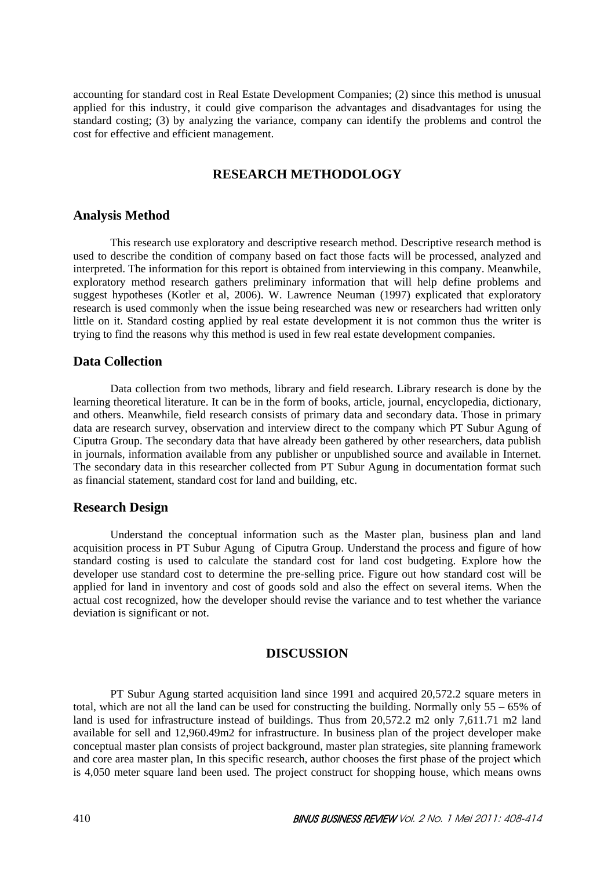accounting for standard cost in Real Estate Development Companies; (2) since this method is unusual applied for this industry, it could give comparison the advantages and disadvantages for using the standard costing; (3) by analyzing the variance, company can identify the problems and control the cost for effective and efficient management.

## **RESEARCH METHODOLOGY**

## **Analysis Method**

This research use exploratory and descriptive research method. Descriptive research method is used to describe the condition of company based on fact those facts will be processed, analyzed and interpreted. The information for this report is obtained from interviewing in this company. Meanwhile, exploratory method research gathers preliminary information that will help define problems and suggest hypotheses (Kotler et al, 2006). W. Lawrence Neuman (1997) explicated that exploratory research is used commonly when the issue being researched was new or researchers had written only little on it. Standard costing applied by real estate development it is not common thus the writer is trying to find the reasons why this method is used in few real estate development companies.

## **Data Collection**

Data collection from two methods, library and field research. Library research is done by the learning theoretical literature. It can be in the form of books, article, journal, encyclopedia, dictionary, and others. Meanwhile, field research consists of primary data and secondary data. Those in primary data are research survey, observation and interview direct to the company which PT Subur Agung of Ciputra Group. The secondary data that have already been gathered by other researchers, data publish in journals, information available from any publisher or unpublished source and available in Internet. The secondary data in this researcher collected from PT Subur Agung in documentation format such as financial statement, standard cost for land and building, etc.

## **Research Design**

Understand the conceptual information such as the Master plan, business plan and land acquisition process in PT Subur Agung of Ciputra Group. Understand the process and figure of how standard costing is used to calculate the standard cost for land cost budgeting. Explore how the developer use standard cost to determine the pre-selling price. Figure out how standard cost will be applied for land in inventory and cost of goods sold and also the effect on several items. When the actual cost recognized, how the developer should revise the variance and to test whether the variance deviation is significant or not.

## **DISCUSSION**

PT Subur Agung started acquisition land since 1991 and acquired 20,572.2 square meters in total, which are not all the land can be used for constructing the building. Normally only 55 – 65% of land is used for infrastructure instead of buildings. Thus from 20,572.2 m2 only 7,611.71 m2 land available for sell and 12,960.49m2 for infrastructure. In business plan of the project developer make conceptual master plan consists of project background, master plan strategies, site planning framework and core area master plan, In this specific research, author chooses the first phase of the project which is 4,050 meter square land been used. The project construct for shopping house, which means owns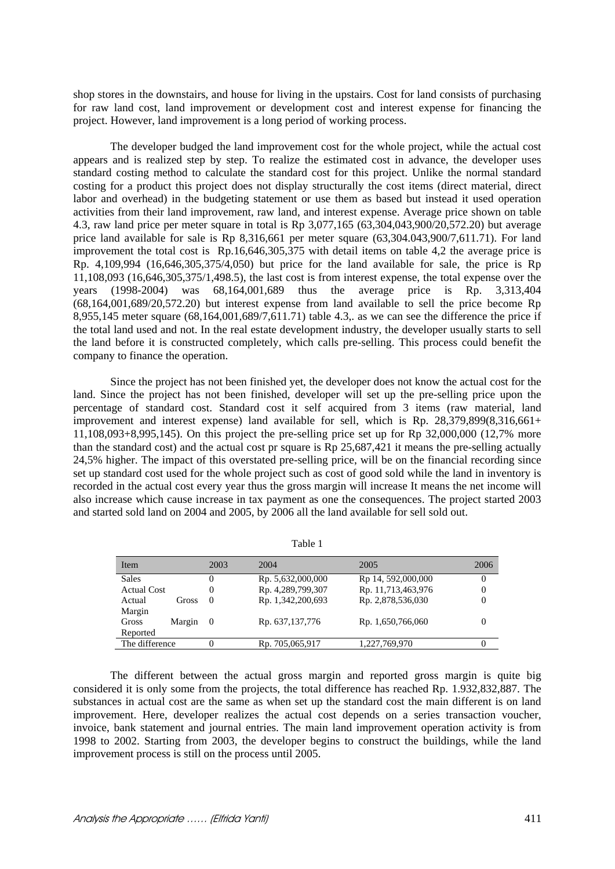shop stores in the downstairs, and house for living in the upstairs. Cost for land consists of purchasing for raw land cost, land improvement or development cost and interest expense for financing the project. However, land improvement is a long period of working process.

The developer budged the land improvement cost for the whole project, while the actual cost appears and is realized step by step. To realize the estimated cost in advance, the developer uses standard costing method to calculate the standard cost for this project. Unlike the normal standard costing for a product this project does not display structurally the cost items (direct material, direct labor and overhead) in the budgeting statement or use them as based but instead it used operation activities from their land improvement, raw land, and interest expense. Average price shown on table 4.3, raw land price per meter square in total is Rp 3,077,165 (63,304,043,900/20,572.20) but average price land available for sale is Rp 8,316,661 per meter square (63,304.043,900/7,611.71). For land improvement the total cost is Rp.16,646,305,375 with detail items on table 4,2 the average price is Rp. 4,109,994 (16,646,305,375/4,050) but price for the land available for sale, the price is Rp 11,108,093 (16,646,305,375/1,498.5), the last cost is from interest expense, the total expense over the years (1998-2004) was 68,164,001,689 thus the average price is Rp. 3,313,404 (68,164,001,689/20,572.20) but interest expense from land available to sell the price become Rp 8,955,145 meter square (68,164,001,689/7,611.71) table 4.3,. as we can see the difference the price if the total land used and not. In the real estate development industry, the developer usually starts to sell the land before it is constructed completely, which calls pre-selling. This process could benefit the company to finance the operation.

Since the project has not been finished yet, the developer does not know the actual cost for the land. Since the project has not been finished, developer will set up the pre-selling price upon the percentage of standard cost. Standard cost it self acquired from 3 items (raw material, land improvement and interest expense) land available for sell, which is Rp. 28,379,899(8,316,661+ 11,108,093+8,995,145). On this project the pre-selling price set up for Rp 32,000,000 (12,7% more than the standard cost) and the actual cost pr square is Rp 25,687,421 it means the pre-selling actually 24,5% higher. The impact of this overstated pre-selling price, will be on the financial recording since set up standard cost used for the whole project such as cost of good sold while the land in inventory is recorded in the actual cost every year thus the gross margin will increase It means the net income will also increase which cause increase in tax payment as one the consequences. The project started 2003 and started sold land on 2004 and 2005, by 2006 all the land available for sell sold out.

| Item               |        | 2003     | 2004              | 2005               | 2006           |
|--------------------|--------|----------|-------------------|--------------------|----------------|
| <b>Sales</b>       |        | 0        | Rp. 5,632,000,000 | Rp 14, 592,000,000 | $\overline{0}$ |
| <b>Actual Cost</b> |        | 0        | Rp. 4,289,799,307 | Rp. 11,713,463,976 | 0              |
| Actual             | Gross  | $\Omega$ | Rp. 1,342,200,693 | Rp. 2,878,536,030  | 0              |
| Margin             |        |          |                   |                    |                |
| Gross              | Margin | $\Omega$ | Rp. 637,137,776   | Rp. 1,650,766,060  | $_{0}$         |
| Reported           |        |          |                   |                    |                |
| The difference     |        | 0        | Rp. 705,065,917   | 1,227,769,970      | 0              |

Table 1

The different between the actual gross margin and reported gross margin is quite big considered it is only some from the projects, the total difference has reached Rp. 1.932,832,887. The substances in actual cost are the same as when set up the standard cost the main different is on land improvement. Here, developer realizes the actual cost depends on a series transaction voucher, invoice, bank statement and journal entries. The main land improvement operation activity is from 1998 to 2002. Starting from 2003, the developer begins to construct the buildings, while the land improvement process is still on the process until 2005.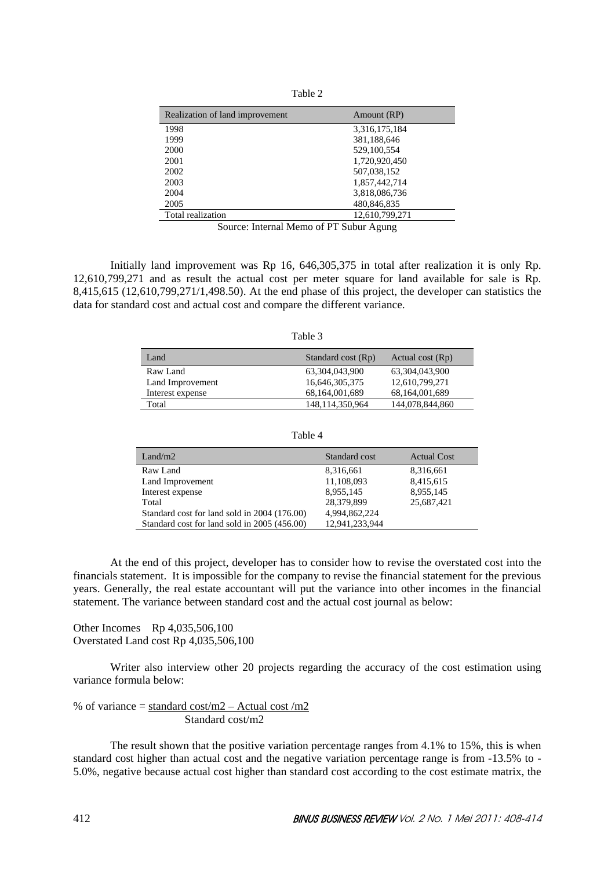| ٦ |  |
|---|--|
|   |  |

| Realization of land improvement | Amount (RP)    |
|---------------------------------|----------------|
| 1998                            | 3,316,175,184  |
| 1999                            | 381,188,646    |
| 2000                            | 529,100,554    |
| 2001                            | 1,720,920,450  |
| 2002                            | 507,038,152    |
| 2003                            | 1,857,442,714  |
| 2004                            | 3,818,086,736  |
| 2005                            | 480,846,835    |
| Total realization               | 12.610.799.271 |

Source: Internal Memo of PT Subur Agung

Initially land improvement was Rp 16, 646,305,375 in total after realization it is only Rp. 12,610,799,271 and as result the actual cost per meter square for land available for sale is Rp. 8,415,615 (12,610,799,271/1,498.50). At the end phase of this project, the developer can statistics the data for standard cost and actual cost and compare the different variance.

| ١<br>m |  |
|--------|--|
|--------|--|

| Land             | Standard cost (Rp) | Actual cost $(Rp)$ |
|------------------|--------------------|--------------------|
| Raw Land         | 63.304.043.900     | 63.304.043.900     |
| Land Improvement | 16,646,305,375     | 12,610,799,271     |
| Interest expense | 68,164,001,689     | 68,164,001,689     |
| Total            | 148.114.350.964    | 144,078,844,860    |

Table 4

| Land/m2                                      | Standard cost  | <b>Actual Cost</b> |
|----------------------------------------------|----------------|--------------------|
| Raw Land                                     | 8,316,661      | 8,316,661          |
| Land Improvement                             | 11,108,093     | 8,415,615          |
| Interest expense                             | 8,955,145      | 8,955,145          |
| Total                                        | 28,379,899     | 25,687,421         |
| Standard cost for land sold in 2004 (176.00) | 4,994,862,224  |                    |
| Standard cost for land sold in 2005 (456.00) | 12,941,233,944 |                    |

At the end of this project, developer has to consider how to revise the overstated cost into the financials statement. It is impossible for the company to revise the financial statement for the previous years. Generally, the real estate accountant will put the variance into other incomes in the financial statement. The variance between standard cost and the actual cost journal as below:

Other Incomes Rp 4,035,506,100 Overstated Land cost Rp 4,035,506,100

Writer also interview other 20 projects regarding the accuracy of the cost estimation using variance formula below:

% of variance = 
$$
\frac{\text{standard cost}}{m2} - \text{Actual cost}}{ \text{Standard cost}} / m2
$$

The result shown that the positive variation percentage ranges from 4.1% to 15%, this is when standard cost higher than actual cost and the negative variation percentage range is from -13.5% to - 5.0%, negative because actual cost higher than standard cost according to the cost estimate matrix, the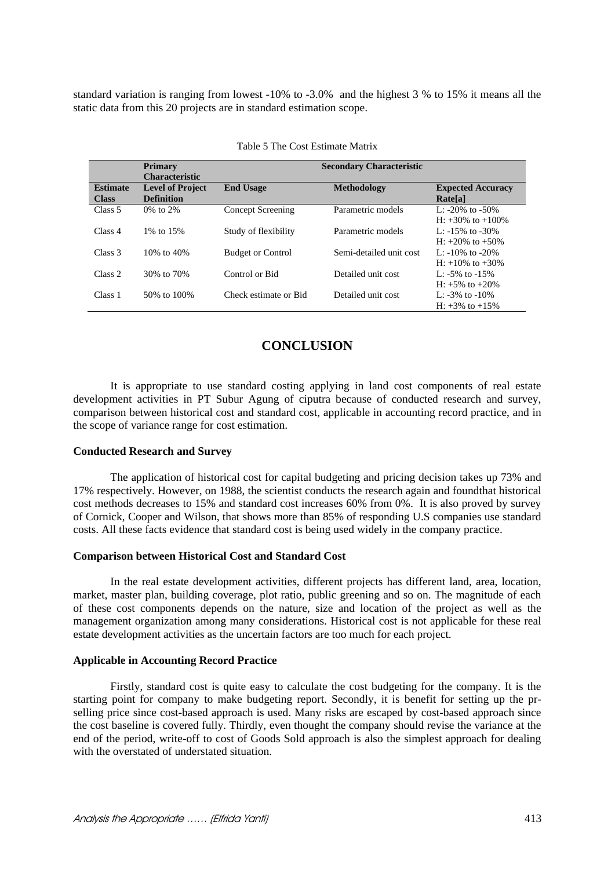standard variation is ranging from lowest -10% to -3.0% and the highest 3 % to 15% it means all the static data from this 20 projects are in standard estimation scope.

|                                 | <b>Primary</b><br><b>Characteristic</b>      |                          | <b>Secondary Characteristic</b> |                                                 |
|---------------------------------|----------------------------------------------|--------------------------|---------------------------------|-------------------------------------------------|
| <b>Estimate</b><br><b>Class</b> | <b>Level of Project</b><br><b>Definition</b> | <b>End Usage</b>         | Methodology                     | <b>Expected Accuracy</b><br>Rate <sup>[a]</sup> |
| Class 5                         | 0\% to 2\%                                   | <b>Concept Screening</b> | Parametric models               | L: $-20\%$ to $-50\%$<br>$H: +30\%$ to $+100\%$ |
| Class 4                         | 1\% to 15\%                                  | Study of flexibility     | Parametric models               | L: $-15\%$ to $-30\%$<br>$H: +20\%$ to $+50\%$  |
| Class <sub>3</sub>              | 10\% to 40\%                                 | <b>Budget or Control</b> | Semi-detailed unit cost         | L: $-10\%$ to $-20\%$<br>$H: +10\%$ to $+30\%$  |
| Class 2                         | 30% to 70%                                   | Control or Bid           | Detailed unit cost              | L: $-5\%$ to $-15\%$<br>$H: +5\%$ to $+20\%$    |
| Class 1                         | 50% to 100%                                  | Check estimate or Bid    | Detailed unit cost              | L: $-3\%$ to $-10\%$<br>H: $+3\%$ to $+15\%$    |

|  | Table 5 The Cost Estimate Matrix |  |  |
|--|----------------------------------|--|--|
|--|----------------------------------|--|--|

## **CONCLUSION**

It is appropriate to use standard costing applying in land cost components of real estate development activities in PT Subur Agung of ciputra because of conducted research and survey, comparison between historical cost and standard cost, applicable in accounting record practice, and in the scope of variance range for cost estimation.

### **Conducted Research and Survey**

The application of historical cost for capital budgeting and pricing decision takes up 73% and 17% respectively. However, on 1988, the scientist conducts the research again and foundthat historical cost methods decreases to 15% and standard cost increases 60% from 0%. It is also proved by survey of Cornick, Cooper and Wilson, that shows more than 85% of responding U.S companies use standard costs. All these facts evidence that standard cost is being used widely in the company practice.

### **Comparison between Historical Cost and Standard Cost**

In the real estate development activities, different projects has different land, area, location, market, master plan, building coverage, plot ratio, public greening and so on. The magnitude of each of these cost components depends on the nature, size and location of the project as well as the management organization among many considerations. Historical cost is not applicable for these real estate development activities as the uncertain factors are too much for each project.

### **Applicable in Accounting Record Practice**

Firstly, standard cost is quite easy to calculate the cost budgeting for the company. It is the starting point for company to make budgeting report. Secondly, it is benefit for setting up the prselling price since cost-based approach is used. Many risks are escaped by cost-based approach since the cost baseline is covered fully. Thirdly, even thought the company should revise the variance at the end of the period, write-off to cost of Goods Sold approach is also the simplest approach for dealing with the overstated of understated situation.